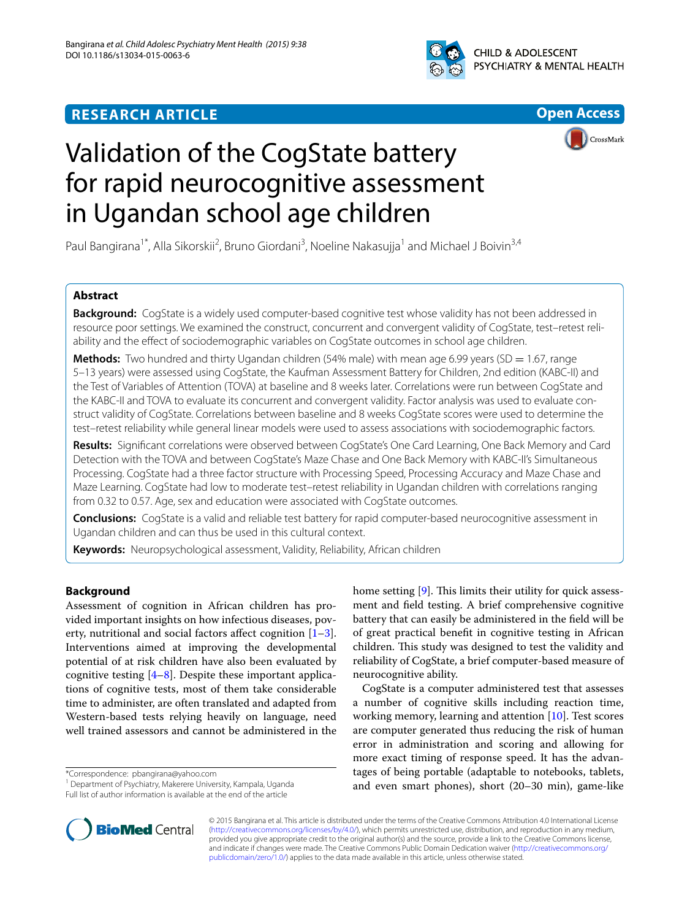## **RESEARCH ARTICLE**





# Validation of the CogState battery for rapid neurocognitive assessment in Ugandan school age children

Paul Bangirana<sup>1\*</sup>, Alla Sikorskii<sup>2</sup>, Bruno Giordani<sup>3</sup>, Noeline Nakasujja<sup>1</sup> and Michael J Boivin<sup>3,4</sup>

## **Abstract**

**Background:** CogState is a widely used computer-based cognitive test whose validity has not been addressed in resource poor settings. We examined the construct, concurrent and convergent validity of CogState, test–retest reliability and the effect of sociodemographic variables on CogState outcomes in school age children.

**Methods:** Two hundred and thirty Ugandan children (54% male) with mean age 6.99 years (SD = 1.67, range 5–13 years) were assessed using CogState, the Kaufman Assessment Battery for Children, 2nd edition (KABC-II) and the Test of Variables of Attention (TOVA) at baseline and 8 weeks later. Correlations were run between CogState and the KABC-II and TOVA to evaluate its concurrent and convergent validity. Factor analysis was used to evaluate construct validity of CogState. Correlations between baseline and 8 weeks CogState scores were used to determine the test–retest reliability while general linear models were used to assess associations with sociodemographic factors.

**Results:** Significant correlations were observed between CogState's One Card Learning, One Back Memory and Card Detection with the TOVA and between CogState's Maze Chase and One Back Memory with KABC-II's Simultaneous Processing. CogState had a three factor structure with Processing Speed, Processing Accuracy and Maze Chase and Maze Learning. CogState had low to moderate test–retest reliability in Ugandan children with correlations ranging from 0.32 to 0.57. Age, sex and education were associated with CogState outcomes.

**Conclusions:** CogState is a valid and reliable test battery for rapid computer-based neurocognitive assessment in Ugandan children and can thus be used in this cultural context.

**Keywords:** Neuropsychological assessment, Validity, Reliability, African children

## **Background**

Assessment of cognition in African children has provided important insights on how infectious diseases, poverty, nutritional and social factors affect cognition  $[1-3]$  $[1-3]$ . Interventions aimed at improving the developmental potential of at risk children have also been evaluated by cognitive testing  $[4-8]$  $[4-8]$  $[4-8]$ . Despite these important applications of cognitive tests, most of them take considerable time to administer, are often translated and adapted from Western-based tests relying heavily on language, need well trained assessors and cannot be administered in the

\*Correspondence: pbangirana@yahoo.com

<sup>1</sup> Department of Psychiatry, Makerere University, Kampala, Uganda Full list of author information is available at the end of the article

children. This study was designed to test the validity and reliability of CogState, a brief computer-based measure of neurocognitive ability. CogState is a computer administered test that assesses a number of cognitive skills including reaction time,

home setting [[9\]](#page-6-4). This limits their utility for quick assessment and field testing. A brief comprehensive cognitive battery that can easily be administered in the field will be of great practical benefit in cognitive testing in African

working memory, learning and attention [[10\]](#page-6-5). Test scores are computer generated thus reducing the risk of human error in administration and scoring and allowing for more exact timing of response speed. It has the advantages of being portable (adaptable to notebooks, tablets, and even smart phones), short (20–30 min), game-like



© 2015 Bangirana et al. This article is distributed under the terms of the Creative Commons Attribution 4.0 International License [\(http://creativecommons.org/licenses/by/4.0/\)](http://creativecommons.org/licenses/by/4.0/), which permits unrestricted use, distribution, and reproduction in any medium, provided you give appropriate credit to the original author(s) and the source, provide a link to the Creative Commons license, and indicate if changes were made. The Creative Commons Public Domain Dedication waiver ([http://creativecommons.org/](http://creativecommons.org/publicdomain/zero/1.0/) [publicdomain/zero/1.0/](http://creativecommons.org/publicdomain/zero/1.0/)) applies to the data made available in this article, unless otherwise stated.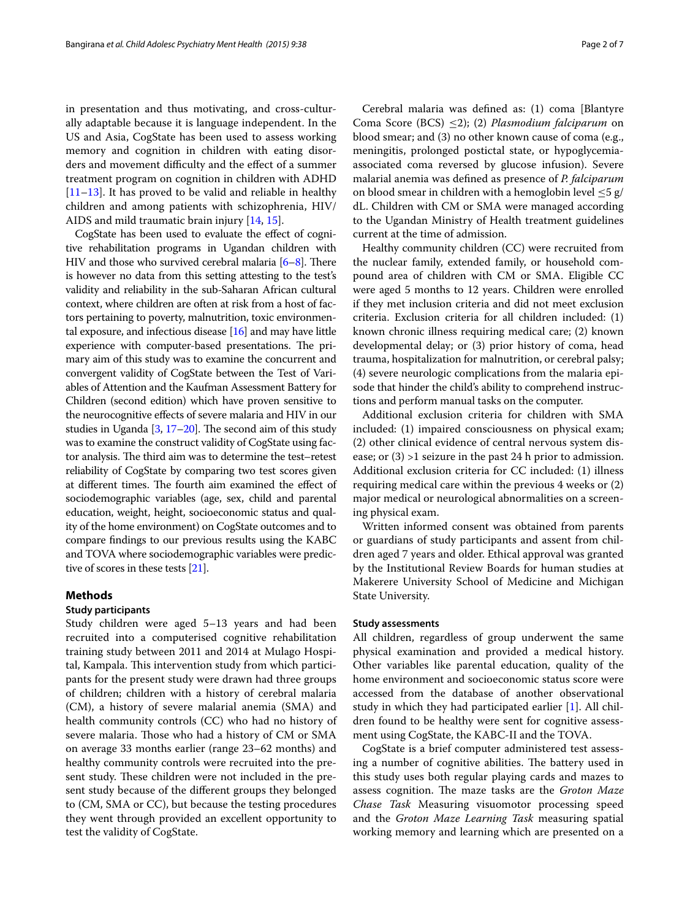in presentation and thus motivating, and cross-culturally adaptable because it is language independent. In the US and Asia, CogState has been used to assess working memory and cognition in children with eating disorders and movement difficulty and the effect of a summer treatment program on cognition in children with ADHD  $[11–13]$  $[11–13]$  $[11–13]$  $[11–13]$ . It has proved to be valid and reliable in healthy children and among patients with schizophrenia, HIV/ AIDS and mild traumatic brain injury [[14,](#page-6-8) [15\]](#page-6-9).

CogState has been used to evaluate the effect of cognitive rehabilitation programs in Ugandan children with HIV and those who survived cerebral malaria [\[6](#page-6-10)–[8\]](#page-6-3). There is however no data from this setting attesting to the test's validity and reliability in the sub-Saharan African cultural context, where children are often at risk from a host of factors pertaining to poverty, malnutrition, toxic environmental exposure, and infectious disease [\[16\]](#page-6-11) and may have little experience with computer-based presentations. The primary aim of this study was to examine the concurrent and convergent validity of CogState between the Test of Variables of Attention and the Kaufman Assessment Battery for Children (second edition) which have proven sensitive to the neurocognitive effects of severe malaria and HIV in our studies in Uganda [[3](#page-6-1), [17](#page-6-12)[–20\]](#page-6-13). The second aim of this study was to examine the construct validity of CogState using factor analysis. The third aim was to determine the test–retest reliability of CogState by comparing two test scores given at different times. The fourth aim examined the effect of sociodemographic variables (age, sex, child and parental education, weight, height, socioeconomic status and quality of the home environment) on CogState outcomes and to compare findings to our previous results using the KABC and TOVA where sociodemographic variables were predictive of scores in these tests [[21](#page-6-14)].

## **Methods**

#### **Study participants**

Study children were aged 5–13 years and had been recruited into a computerised cognitive rehabilitation training study between 2011 and 2014 at Mulago Hospital, Kampala. This intervention study from which participants for the present study were drawn had three groups of children; children with a history of cerebral malaria (CM), a history of severe malarial anemia (SMA) and health community controls (CC) who had no history of severe malaria. Those who had a history of CM or SMA on average 33 months earlier (range 23–62 months) and healthy community controls were recruited into the present study. These children were not included in the present study because of the different groups they belonged to (CM, SMA or CC), but because the testing procedures they went through provided an excellent opportunity to test the validity of CogState.

Cerebral malaria was defined as: (1) coma [Blantyre Coma Score (BCS) ≤2); (2) *Plasmodium falciparum* on blood smear; and (3) no other known cause of coma (e.g., meningitis, prolonged postictal state, or hypoglycemiaassociated coma reversed by glucose infusion). Severe malarial anemia was defined as presence of *P. falciparum* on blood smear in children with a hemoglobin level  $\leq 5$  g/ dL. Children with CM or SMA were managed according to the Ugandan Ministry of Health treatment guidelines current at the time of admission.

Healthy community children (CC) were recruited from the nuclear family, extended family, or household compound area of children with CM or SMA. Eligible CC were aged 5 months to 12 years. Children were enrolled if they met inclusion criteria and did not meet exclusion criteria. Exclusion criteria for all children included: (1) known chronic illness requiring medical care; (2) known developmental delay; or (3) prior history of coma, head trauma, hospitalization for malnutrition, or cerebral palsy; (4) severe neurologic complications from the malaria episode that hinder the child's ability to comprehend instructions and perform manual tasks on the computer.

Additional exclusion criteria for children with SMA included: (1) impaired consciousness on physical exam; (2) other clinical evidence of central nervous system disease; or (3) >1 seizure in the past 24 h prior to admission. Additional exclusion criteria for CC included: (1) illness requiring medical care within the previous 4 weeks or (2) major medical or neurological abnormalities on a screening physical exam.

Written informed consent was obtained from parents or guardians of study participants and assent from children aged 7 years and older. Ethical approval was granted by the Institutional Review Boards for human studies at Makerere University School of Medicine and Michigan State University.

#### **Study assessments**

All children, regardless of group underwent the same physical examination and provided a medical history. Other variables like parental education, quality of the home environment and socioeconomic status score were accessed from the database of another observational study in which they had participated earlier [[1\]](#page-6-0). All children found to be healthy were sent for cognitive assessment using CogState, the KABC-II and the TOVA.

CogState is a brief computer administered test assessing a number of cognitive abilities. The battery used in this study uses both regular playing cards and mazes to assess cognition. The maze tasks are the *Groton Maze Chase Task* Measuring visuomotor processing speed and the *Groton Maze Learning Task* measuring spatial working memory and learning which are presented on a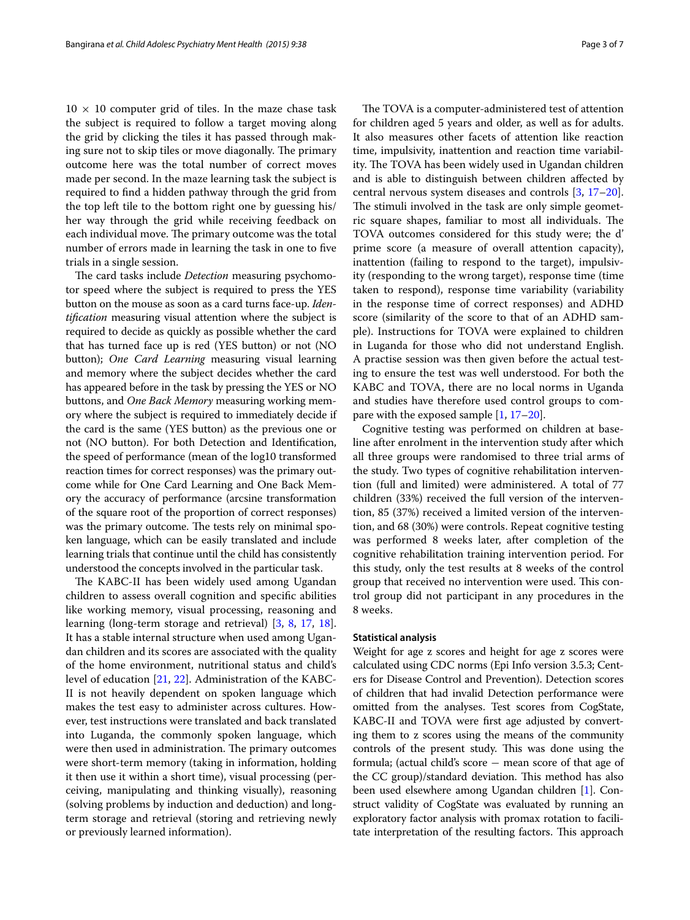$10 \times 10$  computer grid of tiles. In the maze chase task the subject is required to follow a target moving along the grid by clicking the tiles it has passed through making sure not to skip tiles or move diagonally. The primary outcome here was the total number of correct moves made per second. In the maze learning task the subject is required to find a hidden pathway through the grid from the top left tile to the bottom right one by guessing his/ her way through the grid while receiving feedback on each individual move. The primary outcome was the total number of errors made in learning the task in one to five trials in a single session.

The card tasks include *Detection* measuring psychomotor speed where the subject is required to press the YES button on the mouse as soon as a card turns face-up. *Identification* measuring visual attention where the subject is required to decide as quickly as possible whether the card that has turned face up is red (YES button) or not (NO button); *One Card Learning* measuring visual learning and memory where the subject decides whether the card has appeared before in the task by pressing the YES or NO buttons, and *One Back Memory* measuring working memory where the subject is required to immediately decide if the card is the same (YES button) as the previous one or not (NO button). For both Detection and Identification, the speed of performance (mean of the log10 transformed reaction times for correct responses) was the primary outcome while for One Card Learning and One Back Memory the accuracy of performance (arcsine transformation of the square root of the proportion of correct responses) was the primary outcome. The tests rely on minimal spoken language, which can be easily translated and include learning trials that continue until the child has consistently understood the concepts involved in the particular task.

The KABC-II has been widely used among Ugandan children to assess overall cognition and specific abilities like working memory, visual processing, reasoning and learning (long-term storage and retrieval) [\[3](#page-6-1), [8,](#page-6-3) [17](#page-6-12), [18](#page-6-15)]. It has a stable internal structure when used among Ugandan children and its scores are associated with the quality of the home environment, nutritional status and child's level of education [\[21](#page-6-14), [22](#page-6-16)]. Administration of the KABC-II is not heavily dependent on spoken language which makes the test easy to administer across cultures. However, test instructions were translated and back translated into Luganda, the commonly spoken language, which were then used in administration. The primary outcomes were short-term memory (taking in information, holding it then use it within a short time), visual processing (perceiving, manipulating and thinking visually), reasoning (solving problems by induction and deduction) and longterm storage and retrieval (storing and retrieving newly or previously learned information).

The TOVA is a computer-administered test of attention for children aged 5 years and older, as well as for adults. It also measures other facets of attention like reaction time, impulsivity, inattention and reaction time variability. The TOVA has been widely used in Ugandan children and is able to distinguish between children affected by central nervous system diseases and controls [\[3](#page-6-1), [17](#page-6-12)[–20](#page-6-13)]. The stimuli involved in the task are only simple geometric square shapes, familiar to most all individuals. The TOVA outcomes considered for this study were; the d' prime score (a measure of overall attention capacity), inattention (failing to respond to the target), impulsivity (responding to the wrong target), response time (time taken to respond), response time variability (variability in the response time of correct responses) and ADHD score (similarity of the score to that of an ADHD sample). Instructions for TOVA were explained to children in Luganda for those who did not understand English. A practise session was then given before the actual testing to ensure the test was well understood. For both the KABC and TOVA, there are no local norms in Uganda and studies have therefore used control groups to compare with the exposed sample [[1,](#page-6-0) [17](#page-6-12)[–20\]](#page-6-13).

Cognitive testing was performed on children at baseline after enrolment in the intervention study after which all three groups were randomised to three trial arms of the study. Two types of cognitive rehabilitation intervention (full and limited) were administered. A total of 77 children (33%) received the full version of the intervention, 85 (37%) received a limited version of the intervention, and 68 (30%) were controls. Repeat cognitive testing was performed 8 weeks later, after completion of the cognitive rehabilitation training intervention period. For this study, only the test results at 8 weeks of the control group that received no intervention were used. This control group did not participant in any procedures in the 8 weeks.

## **Statistical analysis**

Weight for age z scores and height for age z scores were calculated using CDC norms (Epi Info version 3.5.3; Centers for Disease Control and Prevention). Detection scores of children that had invalid Detection performance were omitted from the analyses. Test scores from CogState, KABC-II and TOVA were first age adjusted by converting them to z scores using the means of the community controls of the present study. This was done using the formula; (actual child's score − mean score of that age of the CC group)/standard deviation. This method has also been used elsewhere among Ugandan children [\[1](#page-6-0)]. Construct validity of CogState was evaluated by running an exploratory factor analysis with promax rotation to facilitate interpretation of the resulting factors. This approach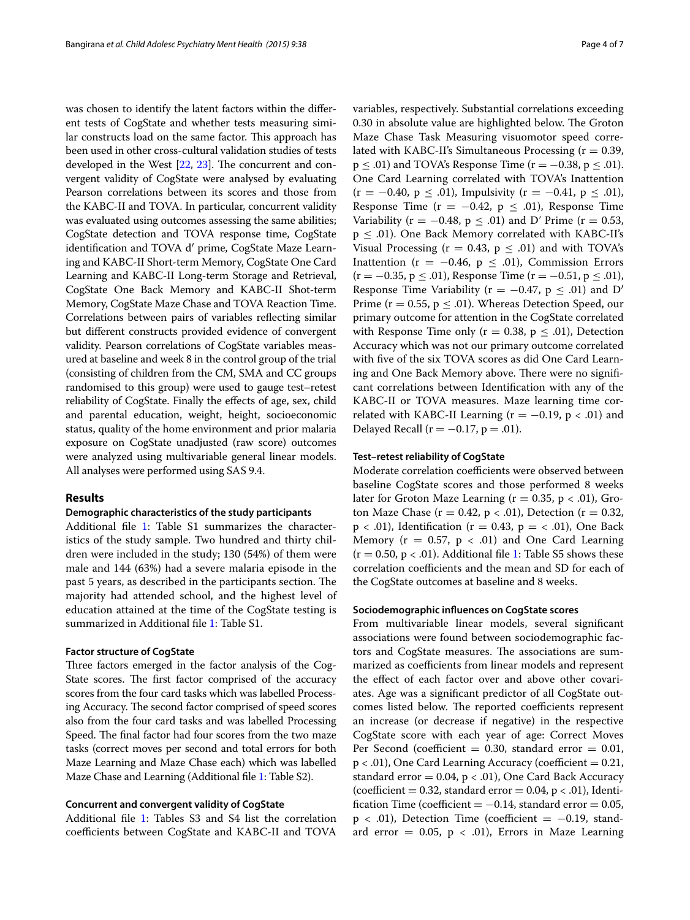was chosen to identify the latent factors within the different tests of CogState and whether tests measuring similar constructs load on the same factor. This approach has been used in other cross-cultural validation studies of tests developed in the West [[22](#page-6-16), [23\]](#page-6-17). The concurrent and convergent validity of CogState were analysed by evaluating Pearson correlations between its scores and those from the KABC-II and TOVA. In particular, concurrent validity was evaluated using outcomes assessing the same abilities; CogState detection and TOVA response time, CogState identification and TOVA d′ prime, CogState Maze Learning and KABC-II Short-term Memory, CogState One Card Learning and KABC-II Long-term Storage and Retrieval, CogState One Back Memory and KABC-II Shot-term Memory, CogState Maze Chase and TOVA Reaction Time. Correlations between pairs of variables reflecting similar but different constructs provided evidence of convergent validity. Pearson correlations of CogState variables measured at baseline and week 8 in the control group of the trial (consisting of children from the CM, SMA and CC groups randomised to this group) were used to gauge test–retest reliability of CogState. Finally the effects of age, sex, child and parental education, weight, height, socioeconomic status, quality of the home environment and prior malaria exposure on CogState unadjusted (raw score) outcomes were analyzed using multivariable general linear models. All analyses were performed using SAS 9.4.

## **Results**

### **Demographic characteristics of the study participants**

Additional file [1](#page-5-0): Table S1 summarizes the characteristics of the study sample. Two hundred and thirty children were included in the study; 130 (54%) of them were male and 144 (63%) had a severe malaria episode in the past 5 years, as described in the participants section. The majority had attended school, and the highest level of education attained at the time of the CogState testing is summarized in Additional file [1:](#page-5-0) Table S1.

## **Factor structure of CogState**

Three factors emerged in the factor analysis of the Cog-State scores. The first factor comprised of the accuracy scores from the four card tasks which was labelled Processing Accuracy. The second factor comprised of speed scores also from the four card tasks and was labelled Processing Speed. The final factor had four scores from the two maze tasks (correct moves per second and total errors for both Maze Learning and Maze Chase each) which was labelled Maze Chase and Learning (Additional file [1:](#page-5-0) Table S2).

#### **Concurrent and convergent validity of CogState**

Additional file [1](#page-5-0): Tables S3 and S4 list the correlation coefficients between CogState and KABC-II and TOVA variables, respectively. Substantial correlations exceeding 0.30 in absolute value are highlighted below. The Groton Maze Chase Task Measuring visuomotor speed correlated with KABC-II's Simultaneous Processing ( $r = 0.39$ ,  $p < .01$ ) and TOVA's Response Time ( $r = -0.38$ ,  $p < .01$ ). One Card Learning correlated with TOVA's Inattention  $(r = -0.40, p \le .01)$ , Impulsivity  $(r = -0.41, p \le .01)$ , Response Time ( $r = -0.42$ ,  $p \le .01$ ), Response Time Variability ( $r = -0.48$ ,  $p \le .01$ ) and D' Prime ( $r = 0.53$ ,  $p \leq .01$ ). One Back Memory correlated with KABC-II's Visual Processing ( $r = 0.43$ ,  $p \leq .01$ ) and with TOVA's Inattention ( $r = -0.46$ ,  $p \le .01$ ), Commission Errors  $(r = -0.35, p \leq .01)$ , Response Time  $(r = -0.51, p \leq .01)$ , Response Time Variability ( $r = -0.47$ ,  $p \le .01$ ) and D' Prime ( $r = 0.55$ ,  $p \leq .01$ ). Whereas Detection Speed, our primary outcome for attention in the CogState correlated with Response Time only ( $r = 0.38$ ,  $p \le .01$ ), Detection Accuracy which was not our primary outcome correlated with five of the six TOVA scores as did One Card Learning and One Back Memory above. There were no significant correlations between Identification with any of the KABC-II or TOVA measures. Maze learning time correlated with KABC-II Learning ( $r = -0.19$ ,  $p < .01$ ) and Delayed Recall ( $r = -0.17$ ,  $p = .01$ ).

## **Test–retest reliability of CogState**

Moderate correlation coefficients were observed between baseline CogState scores and those performed 8 weeks later for Groton Maze Learning ( $r = 0.35$ ,  $p < .01$ ), Groton Maze Chase ( $r = 0.42$ ,  $p < .01$ ), Detection ( $r = 0.32$ ,  $p < .01$ ), Identification ( $r = 0.43$ ,  $p = < .01$ ), One Back Memory ( $r = 0.57$ ,  $p < .01$ ) and One Card Learning  $(r = 0.50, p < .01)$ . Additional file [1:](#page-5-0) Table S5 shows these correlation coefficients and the mean and SD for each of the CogState outcomes at baseline and 8 weeks.

#### **Sociodemographic influences on CogState scores**

From multivariable linear models, several significant associations were found between sociodemographic factors and CogState measures. The associations are summarized as coefficients from linear models and represent the effect of each factor over and above other covariates. Age was a significant predictor of all CogState outcomes listed below. The reported coefficients represent an increase (or decrease if negative) in the respective CogState score with each year of age: Correct Moves Per Second (coefficient  $= 0.30$ , standard error  $= 0.01$ ,  $p < .01$ ), One Card Learning Accuracy (coefficient = 0.21, standard error =  $0.04$ , p < .01), One Card Back Accuracy (coefficient = 0.32, standard error = 0.04,  $p < .01$ ), Identification Time (coefficient =  $-0.14$ , standard error = 0.05,  $p \lt 0.01$ ), Detection Time (coefficient = -0.19, standard error  $= 0.05$ ,  $p < .01$ ), Errors in Maze Learning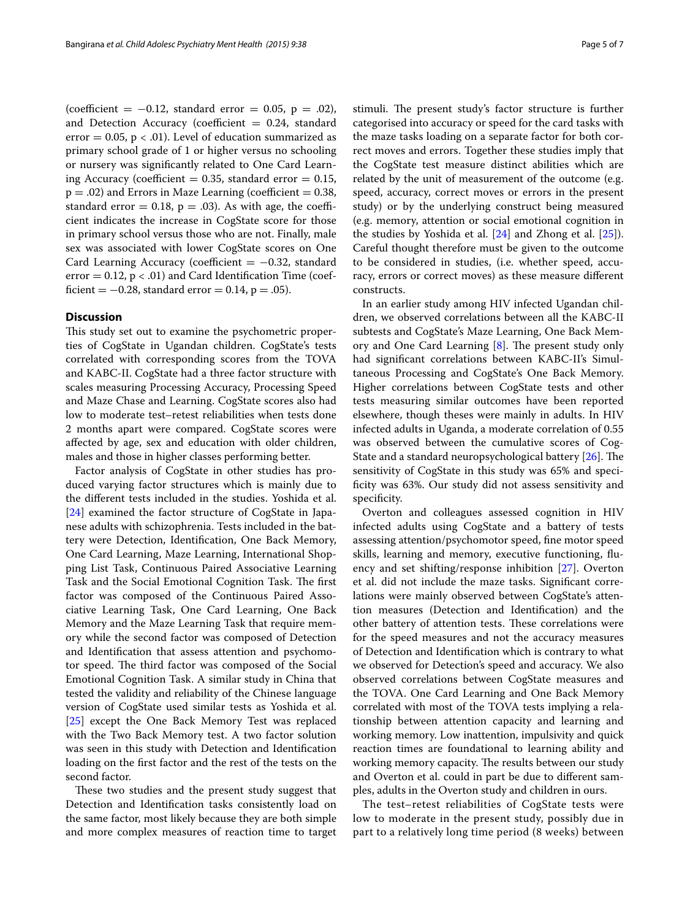(coefficient =  $-0.12$ , standard error = 0.05, p = .02), and Detection Accuracy (coefficient  $= 0.24$ , standard error = 0.05,  $p < .01$ ). Level of education summarized as primary school grade of 1 or higher versus no schooling or nursery was significantly related to One Card Learning Accuracy (coefficient  $= 0.35$ , standard error  $= 0.15$ ,  $p = .02$ ) and Errors in Maze Learning (coefficient  $= 0.38$ , standard error = 0.18,  $p = .03$ ). As with age, the coefficient indicates the increase in CogState score for those in primary school versus those who are not. Finally, male sex was associated with lower CogState scores on One Card Learning Accuracy (coefficient  $= -0.32$ , standard error  $= 0.12$ ,  $p < .01$ ) and Card Identification Time (coefficient =  $-0.28$ , standard error = 0.14, p = .05).

## **Discussion**

This study set out to examine the psychometric properties of CogState in Ugandan children. CogState's tests correlated with corresponding scores from the TOVA and KABC-II. CogState had a three factor structure with scales measuring Processing Accuracy, Processing Speed and Maze Chase and Learning. CogState scores also had low to moderate test–retest reliabilities when tests done 2 months apart were compared. CogState scores were affected by age, sex and education with older children, males and those in higher classes performing better.

Factor analysis of CogState in other studies has produced varying factor structures which is mainly due to the different tests included in the studies. Yoshida et al. [[24\]](#page-6-18) examined the factor structure of CogState in Japanese adults with schizophrenia. Tests included in the battery were Detection, Identification, One Back Memory, One Card Learning, Maze Learning, International Shopping List Task, Continuous Paired Associative Learning Task and the Social Emotional Cognition Task. The first factor was composed of the Continuous Paired Associative Learning Task, One Card Learning, One Back Memory and the Maze Learning Task that require memory while the second factor was composed of Detection and Identification that assess attention and psychomotor speed. The third factor was composed of the Social Emotional Cognition Task. A similar study in China that tested the validity and reliability of the Chinese language version of CogState used similar tests as Yoshida et al. [[25\]](#page-6-19) except the One Back Memory Test was replaced with the Two Back Memory test. A two factor solution was seen in this study with Detection and Identification loading on the first factor and the rest of the tests on the second factor.

These two studies and the present study suggest that Detection and Identification tasks consistently load on the same factor, most likely because they are both simple and more complex measures of reaction time to target

stimuli. The present study's factor structure is further categorised into accuracy or speed for the card tasks with the maze tasks loading on a separate factor for both correct moves and errors. Together these studies imply that the CogState test measure distinct abilities which are related by the unit of measurement of the outcome (e.g. speed, accuracy, correct moves or errors in the present study) or by the underlying construct being measured (e.g. memory, attention or social emotional cognition in the studies by Yoshida et al. [\[24\]](#page-6-18) and Zhong et al. [\[25\]](#page-6-19)). Careful thought therefore must be given to the outcome to be considered in studies, (i.e. whether speed, accuracy, errors or correct moves) as these measure different constructs.

In an earlier study among HIV infected Ugandan children, we observed correlations between all the KABC-II subtests and CogState's Maze Learning, One Back Memory and One Card Learning [[8\]](#page-6-3). The present study only had significant correlations between KABC-II's Simultaneous Processing and CogState's One Back Memory. Higher correlations between CogState tests and other tests measuring similar outcomes have been reported elsewhere, though theses were mainly in adults. In HIV infected adults in Uganda, a moderate correlation of 0.55 was observed between the cumulative scores of Cog-State and a standard neuropsychological battery [[26\]](#page-6-20). The sensitivity of CogState in this study was 65% and specificity was 63%. Our study did not assess sensitivity and specificity.

Overton and colleagues assessed cognition in HIV infected adults using CogState and a battery of tests assessing attention/psychomotor speed, fine motor speed skills, learning and memory, executive functioning, fluency and set shifting/response inhibition [[27\]](#page-6-21). Overton et al. did not include the maze tasks. Significant correlations were mainly observed between CogState's attention measures (Detection and Identification) and the other battery of attention tests. These correlations were for the speed measures and not the accuracy measures of Detection and Identification which is contrary to what we observed for Detection's speed and accuracy. We also observed correlations between CogState measures and the TOVA. One Card Learning and One Back Memory correlated with most of the TOVA tests implying a relationship between attention capacity and learning and working memory. Low inattention, impulsivity and quick reaction times are foundational to learning ability and working memory capacity. The results between our study and Overton et al. could in part be due to different samples, adults in the Overton study and children in ours.

The test–retest reliabilities of CogState tests were low to moderate in the present study, possibly due in part to a relatively long time period (8 weeks) between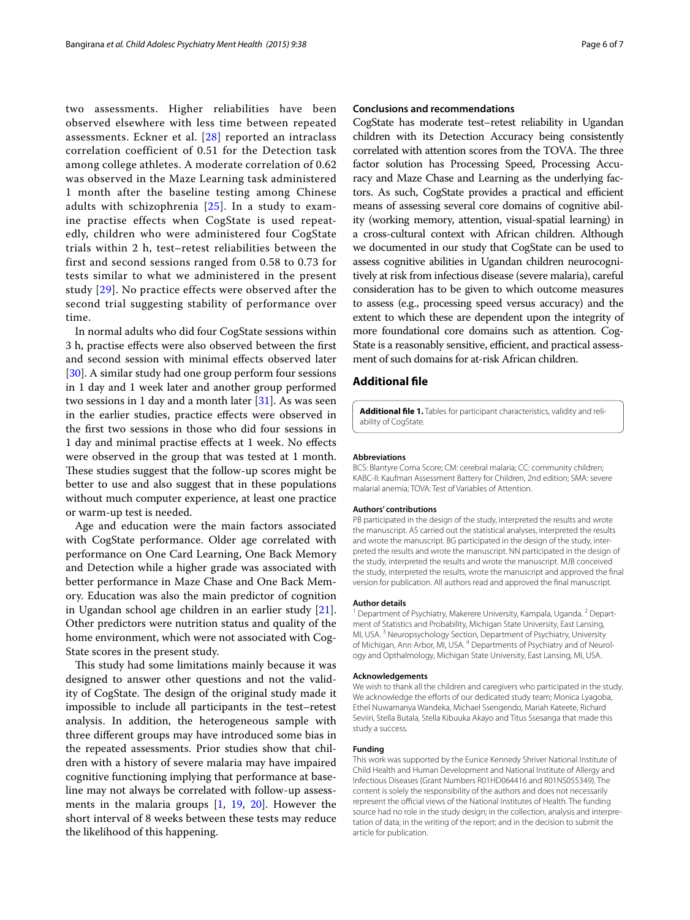two assessments. Higher reliabilities have been observed elsewhere with less time between repeated assessments. Eckner et al. [\[28\]](#page-6-22) reported an intraclass correlation coefficient of 0.51 for the Detection task among college athletes. A moderate correlation of 0.62 was observed in the Maze Learning task administered 1 month after the baseline testing among Chinese adults with schizophrenia [\[25\]](#page-6-19). In a study to examine practise effects when CogState is used repeatedly, children who were administered four CogState trials within 2 h, test–retest reliabilities between the first and second sessions ranged from 0.58 to 0.73 for tests similar to what we administered in the present study [[29](#page-6-23)]. No practice effects were observed after the second trial suggesting stability of performance over time.

In normal adults who did four CogState sessions within 3 h, practise effects were also observed between the first and second session with minimal effects observed later [[30\]](#page-6-24). A similar study had one group perform four sessions in 1 day and 1 week later and another group performed two sessions in 1 day and a month later  $[31]$  $[31]$ . As was seen in the earlier studies, practice effects were observed in the first two sessions in those who did four sessions in 1 day and minimal practise effects at 1 week. No effects were observed in the group that was tested at 1 month. These studies suggest that the follow-up scores might be better to use and also suggest that in these populations without much computer experience, at least one practice or warm-up test is needed.

Age and education were the main factors associated with CogState performance. Older age correlated with performance on One Card Learning, One Back Memory and Detection while a higher grade was associated with better performance in Maze Chase and One Back Memory. Education was also the main predictor of cognition in Ugandan school age children in an earlier study [\[21](#page-6-14)]. Other predictors were nutrition status and quality of the home environment, which were not associated with Cog-State scores in the present study.

This study had some limitations mainly because it was designed to answer other questions and not the validity of CogState. The design of the original study made it impossible to include all participants in the test–retest analysis. In addition, the heterogeneous sample with three different groups may have introduced some bias in the repeated assessments. Prior studies show that children with a history of severe malaria may have impaired cognitive functioning implying that performance at baseline may not always be correlated with follow-up assessments in the malaria groups [[1,](#page-6-0) [19](#page-6-26), [20\]](#page-6-13). However the short interval of 8 weeks between these tests may reduce the likelihood of this happening.

### **Conclusions and recommendations**

CogState has moderate test–retest reliability in Ugandan children with its Detection Accuracy being consistently correlated with attention scores from the TOVA. The three factor solution has Processing Speed, Processing Accuracy and Maze Chase and Learning as the underlying factors. As such, CogState provides a practical and efficient means of assessing several core domains of cognitive ability (working memory, attention, visual-spatial learning) in a cross-cultural context with African children. Although we documented in our study that CogState can be used to assess cognitive abilities in Ugandan children neurocognitively at risk from infectious disease (severe malaria), careful consideration has to be given to which outcome measures to assess (e.g., processing speed versus accuracy) and the extent to which these are dependent upon the integrity of more foundational core domains such as attention. Cog-State is a reasonably sensitive, efficient, and practical assessment of such domains for at-risk African children.

## **Additional file**

<span id="page-5-0"></span>**Additional file 1.** Tables for participant characteristics, validity and reliability of CogState.

#### **Abbreviations**

BCS: Blantyre Coma Score; CM: cerebral malaria; CC: community children; KABC-II: Kaufman Assessment Battery for Children, 2nd edition; SMA: severe malarial anemia; TOVA: Test of Variables of Attention.

#### **Authors' contributions**

PB participated in the design of the study, interpreted the results and wrote the manuscript. AS carried out the statistical analyses, interpreted the results and wrote the manuscript. BG participated in the design of the study, interpreted the results and wrote the manuscript. NN participated in the design of the study, interpreted the results and wrote the manuscript. MJB conceived the study, interpreted the results, wrote the manuscript and approved the final version for publication. All authors read and approved the final manuscript.

#### **Author details**

<sup>1</sup> Department of Psychiatry, Makerere University, Kampala, Uganda.<sup>2</sup> Department of Statistics and Probability, Michigan State University, East Lansing, MI, USA. <sup>3</sup> Neuropsychology Section, Department of Psychiatry, University of Michigan, Ann Arbor, MI, USA. <sup>4</sup> Departments of Psychiatry and of Neurology and Opthalmology, Michigan State University, East Lansing, MI, USA.

#### **Acknowledgements**

We wish to thank all the children and caregivers who participated in the study. We acknowledge the efforts of our dedicated study team; Monica Lyagoba, Ethel Nuwamanya Wandeka, Michael Ssengendo, Mariah Kateete, Richard Seviiri, Stella Butala, Stella Kibuuka Akayo and Titus Ssesanga that made this study a success.

#### **Funding**

This work was supported by the Eunice Kennedy Shriver National Institute of Child Health and Human Development and National Institute of Allergy and Infectious Diseases (Grant Numbers R01HD064416 and R01NS055349). The content is solely the responsibility of the authors and does not necessarily represent the official views of the National Institutes of Health. The funding source had no role in the study design; in the collection, analysis and interpretation of data; in the writing of the report; and in the decision to submit the article for publication.